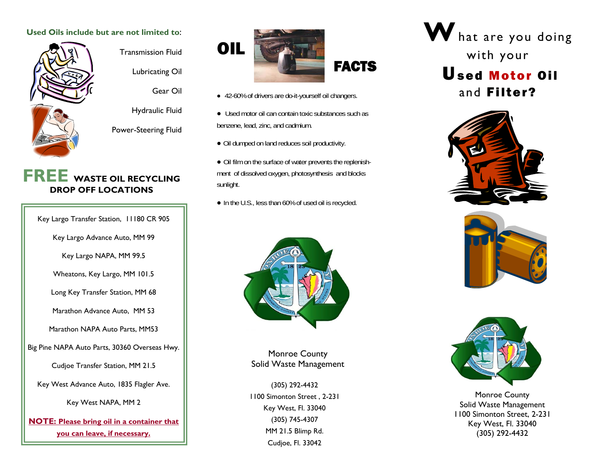#### **Used Oils include but are not limited to**:





Lubricating Oil

Gear Oil

Hydraulic Fluid

Power-Steering Fluid

# **FREE WASTE OIL RECYCLING DROP OFF LOCATIONS**

Key Largo Transfer Station, 11180 CR 905

Key Largo Advance Auto, MM 99

Key Largo NAPA, MM 99.5

Wheatons, Key Largo, MM 101.5

Long Key Transfer Station, MM 68

Marathon Advance Auto, MM 53

Marathon NAPA Auto Parts, MM53

Big Pine NAPA Auto Parts, 30360 Overseas Hwy.

Cudjoe Transfer Station, MM 21.5

Key West Advance Auto, 1835 Flagler Ave.

Key West NAPA, MM 2

**NOTE: Please bring oil in a container that you can leave, if necessary.** 



- 42-60% of drivers are do-it-yourself oil changers.
- Used motor oil can contain toxic substances such as benzene, lead, zinc, and cadmium.
- Oil dumped on land reduces soil productivity.
- Oil film on the surface of water prevents the replenishment of dissolved oxygen, photosynthesis and blocks sunlight.
- In the U.S., less than 60% of used oil is recycled.



Monroe County Solid Waste Management

(305) 292-4432 1100 Simonton Street , 2-231 Key West, Fl. 33040 (305) 745-4307 MM 21.5 Blimp Rd. Cudjoe, Fl. 33042

**W**hat are you doing with your Used Motor Oiland Filter?







Monroe County Solid Waste Management 1100 Simonton Street, 2-231 Key West, Fl. 33040 (305) 292-4432